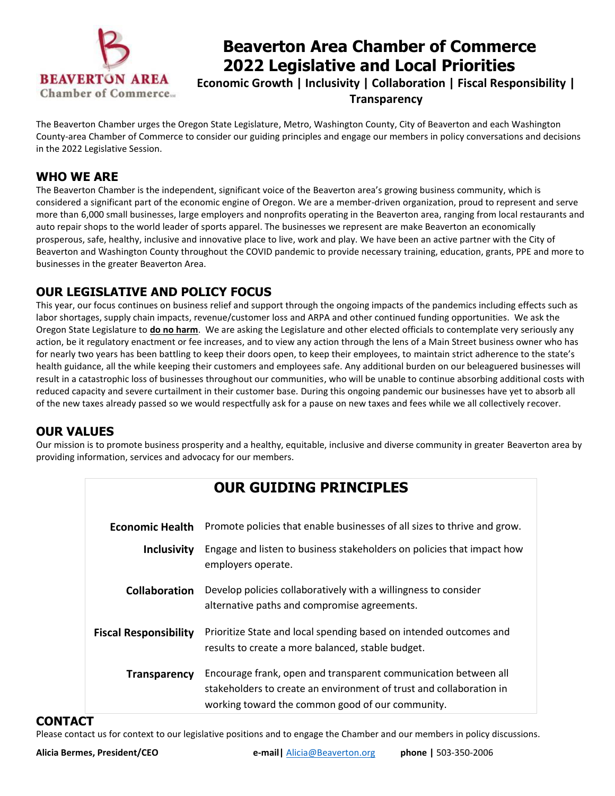

# **Beaverton Area Chamber of Commerce 2022 Legislative and Local Priorities**

**Economic Growth | Inclusivity | Collaboration | Fiscal Responsibility | Transparency**

The Beaverton Chamber urges the Oregon State Legislature, Metro, Washington County, City of Beaverton and each Washington County-area Chamber of Commerce to consider our guiding principles and engage our members in policy conversations and decisions in the 2022 Legislative Session.

#### **WHO WE ARE**

The Beaverton Chamber is the independent, significant voice of the Beaverton area's growing business community, which is considered a significant part of the economic engine of Oregon. We are a member-driven organization, proud to represent and serve more than 6,000 small businesses, large employers and nonprofits operating in the Beaverton area, ranging from local restaurants and auto repair shops to the world leader of sports apparel. The businesses we represent are make Beaverton an economically prosperous, safe, healthy, inclusive and innovative place to live, work and play. We have been an active partner with the City of Beaverton and Washington County throughout the COVID pandemic to provide necessary training, education, grants, PPE and more to businesses in the greater Beaverton Area.

### **OUR LEGISLATIVE AND POLICY FOCUS**

This year, our focus continues on business relief and support through the ongoing impacts of the pandemics including effects such as labor shortages, supply chain impacts, revenue/customer loss and ARPA and other continued funding opportunities. We ask the Oregon State Legislature to **do no harm**. We are asking the Legislature and other elected officials to contemplate very seriously any action, be it regulatory enactment or fee increases, and to view any action through the lens of a Main Street business owner who has for nearly two years has been battling to keep their doors open, to keep their employees, to maintain strict adherence to the state's health guidance, all the while keeping their customers and employees safe. Any additional burden on our beleaguered businesses will result in a catastrophic loss of businesses throughout our communities, who will be unable to continue absorbing additional costs with reduced capacity and severe curtailment in their customer base. During this ongoing pandemic our businesses have yet to absorb all of the new taxes already passed so we would respectfully ask for a pause on new taxes and fees while we all collectively recover.

#### **OUR VALUES**

Our mission is to promote business prosperity and a healthy, equitable, inclusive and diverse community in greater Beaverton area by providing information, services and advocacy for our members.

|                              | <b>OUR GUIDING PRINCIPLES</b>                                                                                                                                                              |
|------------------------------|--------------------------------------------------------------------------------------------------------------------------------------------------------------------------------------------|
| <b>Economic Health</b>       | Promote policies that enable businesses of all sizes to thrive and grow.                                                                                                                   |
| <b>Inclusivity</b>           | Engage and listen to business stakeholders on policies that impact how<br>employers operate.                                                                                               |
| <b>Collaboration</b>         | Develop policies collaboratively with a willingness to consider<br>alternative paths and compromise agreements.                                                                            |
| <b>Fiscal Responsibility</b> | Prioritize State and local spending based on intended outcomes and<br>results to create a more balanced, stable budget.                                                                    |
| <b>Transparency</b>          | Encourage frank, open and transparent communication between all<br>stakeholders to create an environment of trust and collaboration in<br>working toward the common good of our community. |

#### **CONTACT**

Please contact us for context to our legislative positions and to engage the Chamber and our members in policy discussions.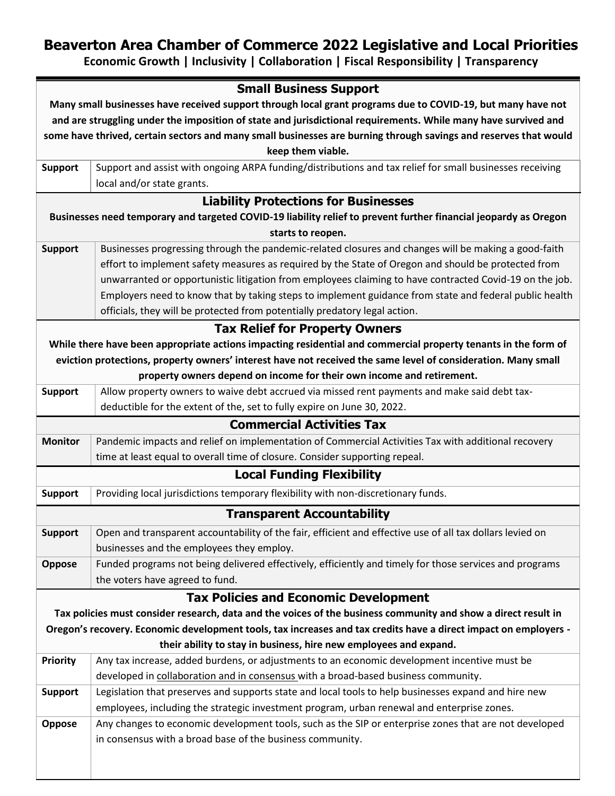## **Beaverton Area Chamber of Commerce 2022 Legislative and Local Priorities**

**Economic Growth | Inclusivity | Collaboration | Fiscal Responsibility | Transparency**

|                                                                                                                  | <b>Small Business Support</b>                                                                                     |  |
|------------------------------------------------------------------------------------------------------------------|-------------------------------------------------------------------------------------------------------------------|--|
| Many small businesses have received support through local grant programs due to COVID-19, but many have not      |                                                                                                                   |  |
| and are struggling under the imposition of state and jurisdictional requirements. While many have survived and   |                                                                                                                   |  |
| some have thrived, certain sectors and many small businesses are burning through savings and reserves that would |                                                                                                                   |  |
|                                                                                                                  | keep them viable.                                                                                                 |  |
| <b>Support</b>                                                                                                   | Support and assist with ongoing ARPA funding/distributions and tax relief for small businesses receiving          |  |
|                                                                                                                  | local and/or state grants.                                                                                        |  |
|                                                                                                                  | <b>Liability Protections for Businesses</b>                                                                       |  |
| Businesses need temporary and targeted COVID-19 liability relief to prevent further financial jeopardy as Oregon |                                                                                                                   |  |
|                                                                                                                  | starts to reopen.                                                                                                 |  |
| <b>Support</b>                                                                                                   | Businesses progressing through the pandemic-related closures and changes will be making a good-faith              |  |
|                                                                                                                  | effort to implement safety measures as required by the State of Oregon and should be protected from               |  |
|                                                                                                                  | unwarranted or opportunistic litigation from employees claiming to have contracted Covid-19 on the job.           |  |
|                                                                                                                  | Employers need to know that by taking steps to implement guidance from state and federal public health            |  |
|                                                                                                                  | officials, they will be protected from potentially predatory legal action.                                        |  |
|                                                                                                                  | <b>Tax Relief for Property Owners</b>                                                                             |  |
|                                                                                                                  | While there have been appropriate actions impacting residential and commercial property tenants in the form of    |  |
|                                                                                                                  | eviction protections, property owners' interest have not received the same level of consideration. Many small     |  |
|                                                                                                                  | property owners depend on income for their own income and retirement.                                             |  |
| <b>Support</b>                                                                                                   | Allow property owners to waive debt accrued via missed rent payments and make said debt tax-                      |  |
|                                                                                                                  | deductible for the extent of the, set to fully expire on June 30, 2022.                                           |  |
|                                                                                                                  | <b>Commercial Activities Tax</b>                                                                                  |  |
| <b>Monitor</b>                                                                                                   | Pandemic impacts and relief on implementation of Commercial Activities Tax with additional recovery               |  |
|                                                                                                                  | time at least equal to overall time of closure. Consider supporting repeal.                                       |  |
|                                                                                                                  | <b>Local Funding Flexibility</b>                                                                                  |  |
| <b>Support</b>                                                                                                   | Providing local jurisdictions temporary flexibility with non-discretionary funds.                                 |  |
| <b>Transparent Accountability</b>                                                                                |                                                                                                                   |  |
| <b>Support</b>                                                                                                   | $\vert$ Open and transparent accountability of the fair, efficient and effective use of all tax dollars levied on |  |
|                                                                                                                  | businesses and the employees they employ.                                                                         |  |
| Oppose                                                                                                           | Funded programs not being delivered effectively, efficiently and timely for those services and programs           |  |
|                                                                                                                  | the voters have agreed to fund.                                                                                   |  |
|                                                                                                                  | <b>Tax Policies and Economic Development</b>                                                                      |  |
|                                                                                                                  | Tax policies must consider research, data and the voices of the business community and show a direct result in    |  |
|                                                                                                                  | Oregon's recovery. Economic development tools, tax increases and tax credits have a direct impact on employers -  |  |
| their ability to stay in business, hire new employees and expand.                                                |                                                                                                                   |  |
| <b>Priority</b>                                                                                                  | Any tax increase, added burdens, or adjustments to an economic development incentive must be                      |  |
|                                                                                                                  | developed in collaboration and in consensus with a broad-based business community.                                |  |
| <b>Support</b>                                                                                                   | Legislation that preserves and supports state and local tools to help businesses expand and hire new              |  |
|                                                                                                                  | employees, including the strategic investment program, urban renewal and enterprise zones.                        |  |
| Oppose                                                                                                           | Any changes to economic development tools, such as the SIP or enterprise zones that are not developed             |  |
|                                                                                                                  | in consensus with a broad base of the business community.                                                         |  |
|                                                                                                                  |                                                                                                                   |  |